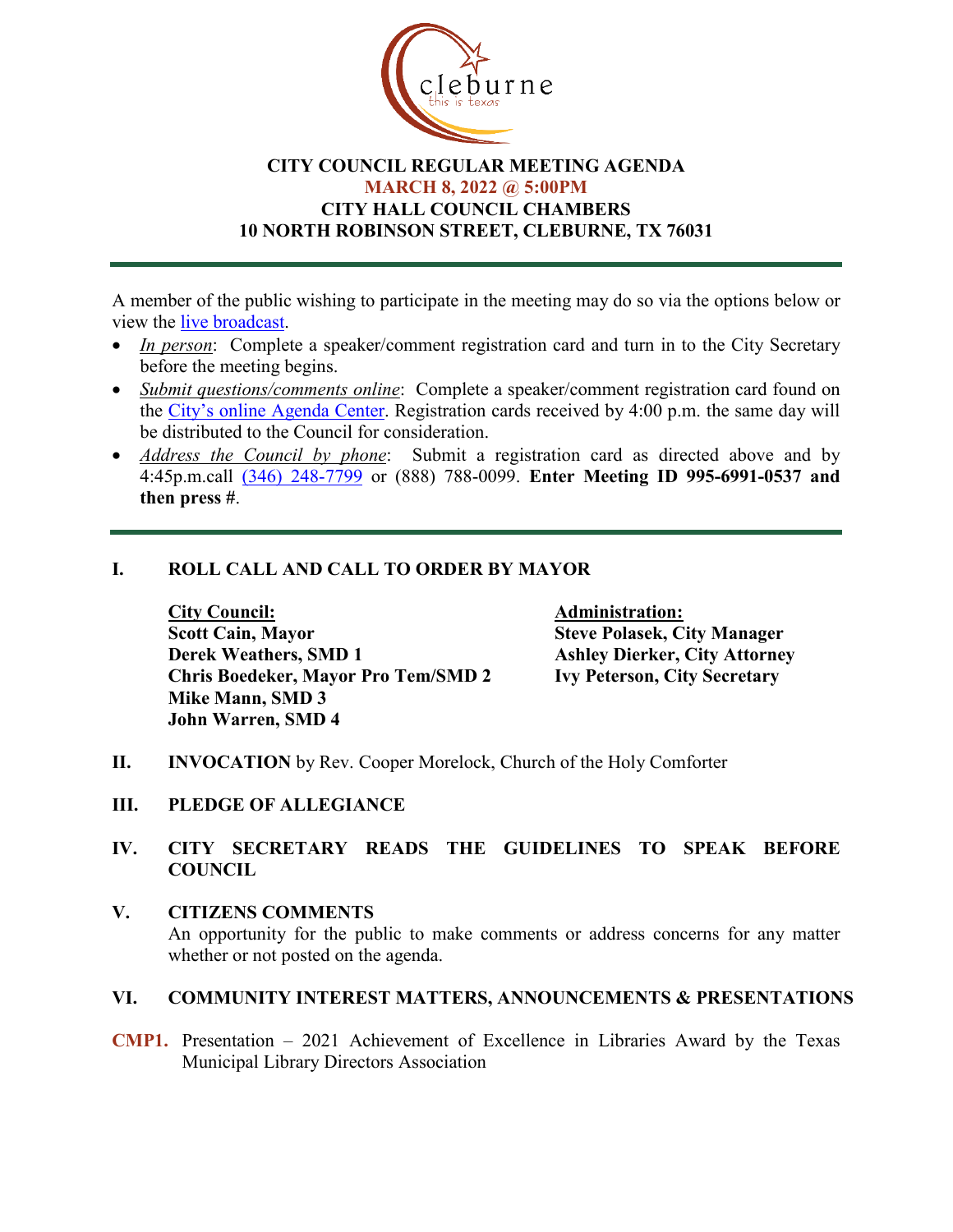

# **CITY COUNCIL REGULAR MEETING AGENDA MARCH 8, 2022 @ 5:00PM CITY HALL COUNCIL CHAMBERS 10 NORTH ROBINSON STREET, CLEBURNE, TX 76031**

A member of the public wishing to participate in the meeting may do so via the options below or view the [live broadcast.](http://www.cleburne.net/925/Cleburne-Live)

- *In person*: Complete a speaker/comment registration card and turn in to the City Secretary before the meeting begins.
- *Submit questions/comments online*: Complete a speaker/comment registration card found on the [City's online Agenda Center.](https://www.cleburne.net/agendacenter) Registration cards received by 4:00 p.m. the same day will be distributed to the Council for consideration.
- *Address the Council by phone*: Submit a registration card as directed above and by 4:45p.m.call [\(346\) 248-7799](tel:+13127573117,,477307821) or (888) 788-0099. **Enter Meeting ID 995-6991-0537 and then press #**.

# **I. ROLL CALL AND CALL TO ORDER BY MAYOR**

**City Council: Administration: Scott Cain, Mayor Steve Polasek, City Manager Derek Weathers, SMD 1 Ashley Dierker, City Attorney Chris Boedeker, Mayor Pro Tem/SMD 2 Ivy Peterson, City Secretary Mike Mann, SMD 3 John Warren, SMD 4**

- **II. INVOCATION** by Rev. Cooper Morelock, Church of the Holy Comforter
- **III. PLEDGE OF ALLEGIANCE**

# **IV. CITY SECRETARY READS THE GUIDELINES TO SPEAK BEFORE COUNCIL**

**V. CITIZENS COMMENTS** An opportunity for the public to make comments or address concerns for any matter whether or not posted on the agenda.

#### **VI. COMMUNITY INTEREST MATTERS, ANNOUNCEMENTS & PRESENTATIONS**

**CMP1.** Presentation – 2021 Achievement of Excellence in Libraries Award by the Texas Municipal Library Directors Association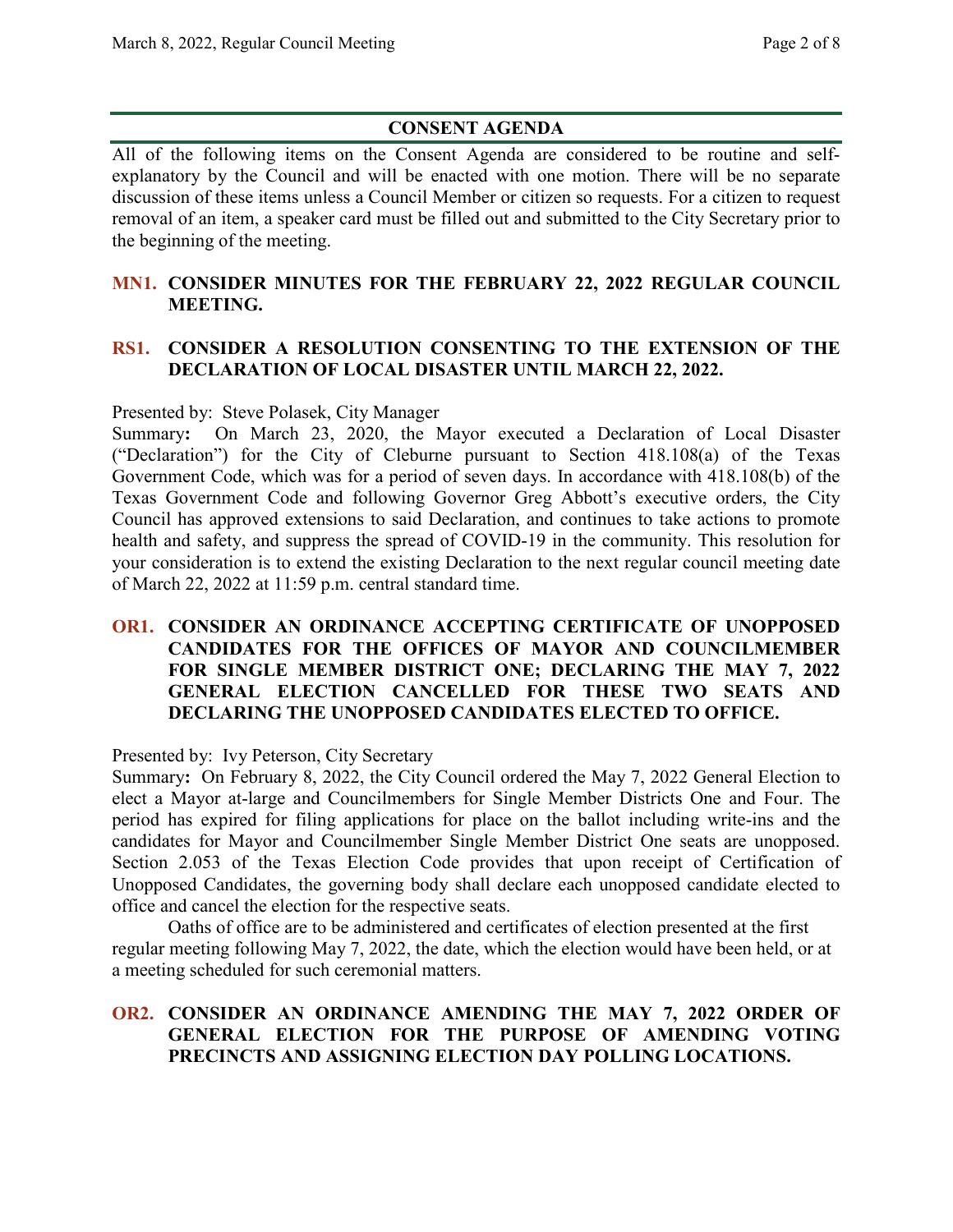# **CONSENT AGENDA**

All of the following items on the Consent Agenda are considered to be routine and selfexplanatory by the Council and will be enacted with one motion. There will be no separate discussion of these items unless a Council Member or citizen so requests. For a citizen to request removal of an item, a speaker card must be filled out and submitted to the City Secretary prior to the beginning of the meeting.

# **MN1. CONSIDER MINUTES FOR THE FEBRUARY 22, 2022 REGULAR COUNCIL MEETING.**

# **RS1. CONSIDER A RESOLUTION CONSENTING TO THE EXTENSION OF THE DECLARATION OF LOCAL DISASTER UNTIL MARCH 22, 2022.**

Presented by: Steve Polasek, City Manager

Summary**:** On March 23, 2020, the Mayor executed a Declaration of Local Disaster ("Declaration") for the City of Cleburne pursuant to Section 418.108(a) of the Texas Government Code, which was for a period of seven days. In accordance with 418.108(b) of the Texas Government Code and following Governor Greg Abbott's executive orders, the City Council has approved extensions to said Declaration, and continues to take actions to promote health and safety, and suppress the spread of COVID-19 in the community. This resolution for your consideration is to extend the existing Declaration to the next regular council meeting date of March 22, 2022 at 11:59 p.m. central standard time.

#### **OR1. CONSIDER AN ORDINANCE ACCEPTING CERTIFICATE OF UNOPPOSED CANDIDATES FOR THE OFFICES OF MAYOR AND COUNCILMEMBER FOR SINGLE MEMBER DISTRICT ONE; DECLARING THE MAY 7, 2022 GENERAL ELECTION CANCELLED FOR THESE TWO SEATS AND DECLARING THE UNOPPOSED CANDIDATES ELECTED TO OFFICE.**

Presented by: Ivy Peterson, City Secretary

Summary**:** On February 8, 2022, the City Council ordered the May 7, 2022 General Election to elect a Mayor at-large and Councilmembers for Single Member Districts One and Four. The period has expired for filing applications for place on the ballot including write-ins and the candidates for Mayor and Councilmember Single Member District One seats are unopposed. Section 2.053 of the Texas Election Code provides that upon receipt of Certification of Unopposed Candidates, the governing body shall declare each unopposed candidate elected to office and cancel the election for the respective seats.

Oaths of office are to be administered and certificates of election presented at the first regular meeting following May 7, 2022, the date, which the election would have been held, or at a meeting scheduled for such ceremonial matters.

# **OR2. CONSIDER AN ORDINANCE AMENDING THE MAY 7, 2022 ORDER OF GENERAL ELECTION FOR THE PURPOSE OF AMENDING VOTING PRECINCTS AND ASSIGNING ELECTION DAY POLLING LOCATIONS.**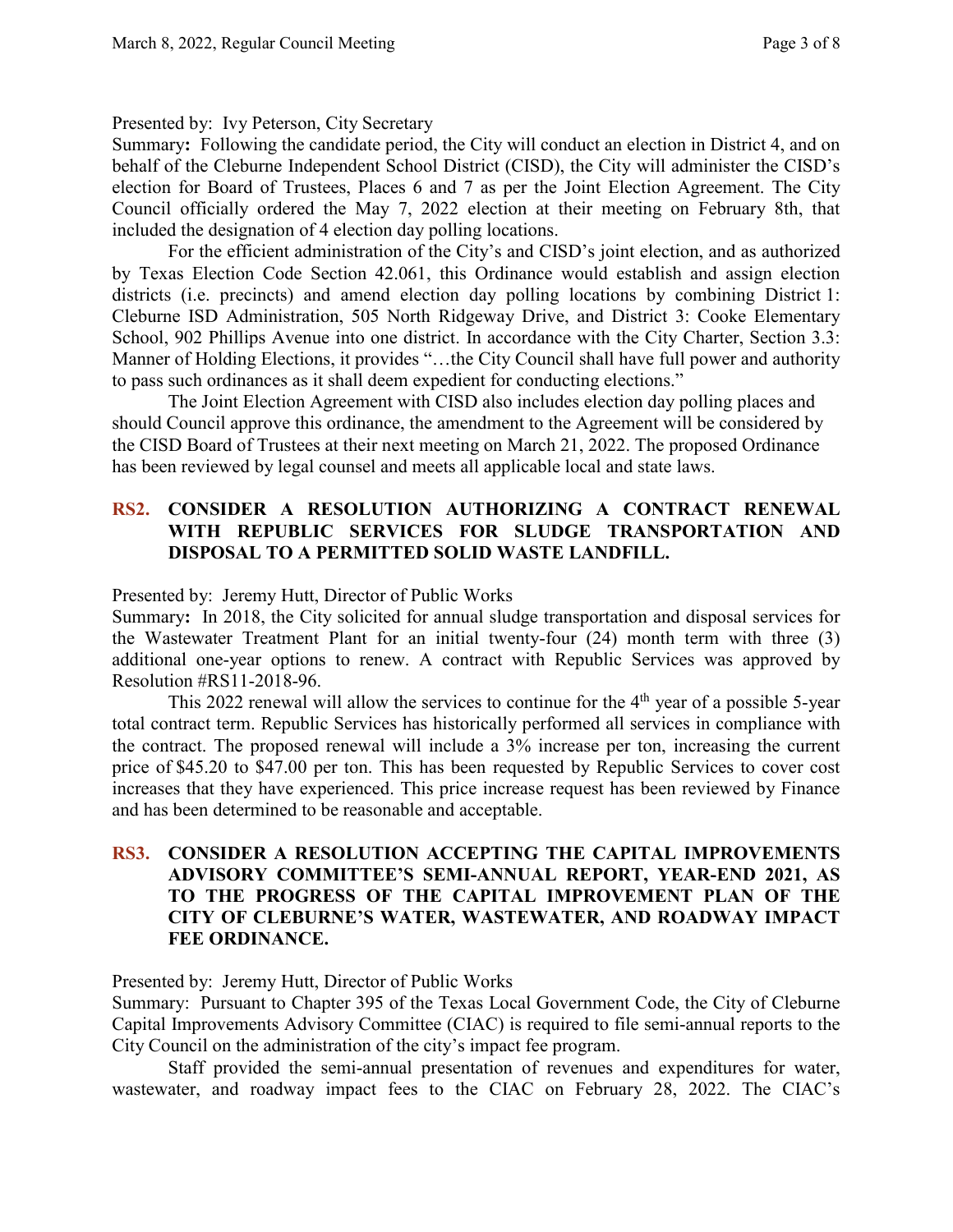#### Presented by: Ivy Peterson, City Secretary

Summary**:** Following the candidate period, the City will conduct an election in District 4, and on behalf of the Cleburne Independent School District (CISD), the City will administer the CISD's election for Board of Trustees, Places 6 and 7 as per the Joint Election Agreement. The City Council officially ordered the May 7, 2022 election at their meeting on February 8th, that included the designation of 4 election day polling locations.

For the efficient administration of the City's and CISD's joint election, and as authorized by Texas Election Code Section 42.061, this Ordinance would establish and assign election districts (i.e. precincts) and amend election day polling locations by combining District 1: Cleburne ISD Administration, 505 North Ridgeway Drive, and District 3: Cooke Elementary School, 902 Phillips Avenue into one district. In accordance with the City Charter, Section 3.3: Manner of Holding Elections, it provides "…the City Council shall have full power and authority to pass such ordinances as it shall deem expedient for conducting elections."

The Joint Election Agreement with CISD also includes election day polling places and should Council approve this ordinance, the amendment to the Agreement will be considered by the CISD Board of Trustees at their next meeting on March 21, 2022. The proposed Ordinance has been reviewed by legal counsel and meets all applicable local and state laws.

#### **RS2. CONSIDER A RESOLUTION AUTHORIZING A CONTRACT RENEWAL WITH REPUBLIC SERVICES FOR SLUDGE TRANSPORTATION AND DISPOSAL TO A PERMITTED SOLID WASTE LANDFILL.**

Presented by: Jeremy Hutt, Director of Public Works

Summary**:** In 2018, the City solicited for annual sludge transportation and disposal services for the Wastewater Treatment Plant for an initial twenty-four (24) month term with three (3) additional one-year options to renew. A contract with Republic Services was approved by Resolution #RS11-2018-96.

This 2022 renewal will allow the services to continue for the  $4<sup>th</sup>$  year of a possible 5-year total contract term. Republic Services has historically performed all services in compliance with the contract. The proposed renewal will include a 3% increase per ton, increasing the current price of \$45.20 to \$47.00 per ton. This has been requested by Republic Services to cover cost increases that they have experienced. This price increase request has been reviewed by Finance and has been determined to be reasonable and acceptable.

# **RS3. CONSIDER A RESOLUTION ACCEPTING THE CAPITAL IMPROVEMENTS ADVISORY COMMITTEE'S SEMI-ANNUAL REPORT, YEAR-END 2021, AS TO THE PROGRESS OF THE CAPITAL IMPROVEMENT PLAN OF THE CITY OF CLEBURNE'S WATER, WASTEWATER, AND ROADWAY IMPACT FEE ORDINANCE.**

Presented by: Jeremy Hutt, Director of Public Works

Summary: Pursuant to Chapter 395 of the Texas Local Government Code, the City of Cleburne Capital Improvements Advisory Committee (CIAC) is required to file semi-annual reports to the City Council on the administration of the city's impact fee program.

Staff provided the semi-annual presentation of revenues and expenditures for water, wastewater, and roadway impact fees to the CIAC on February 28, 2022. The CIAC's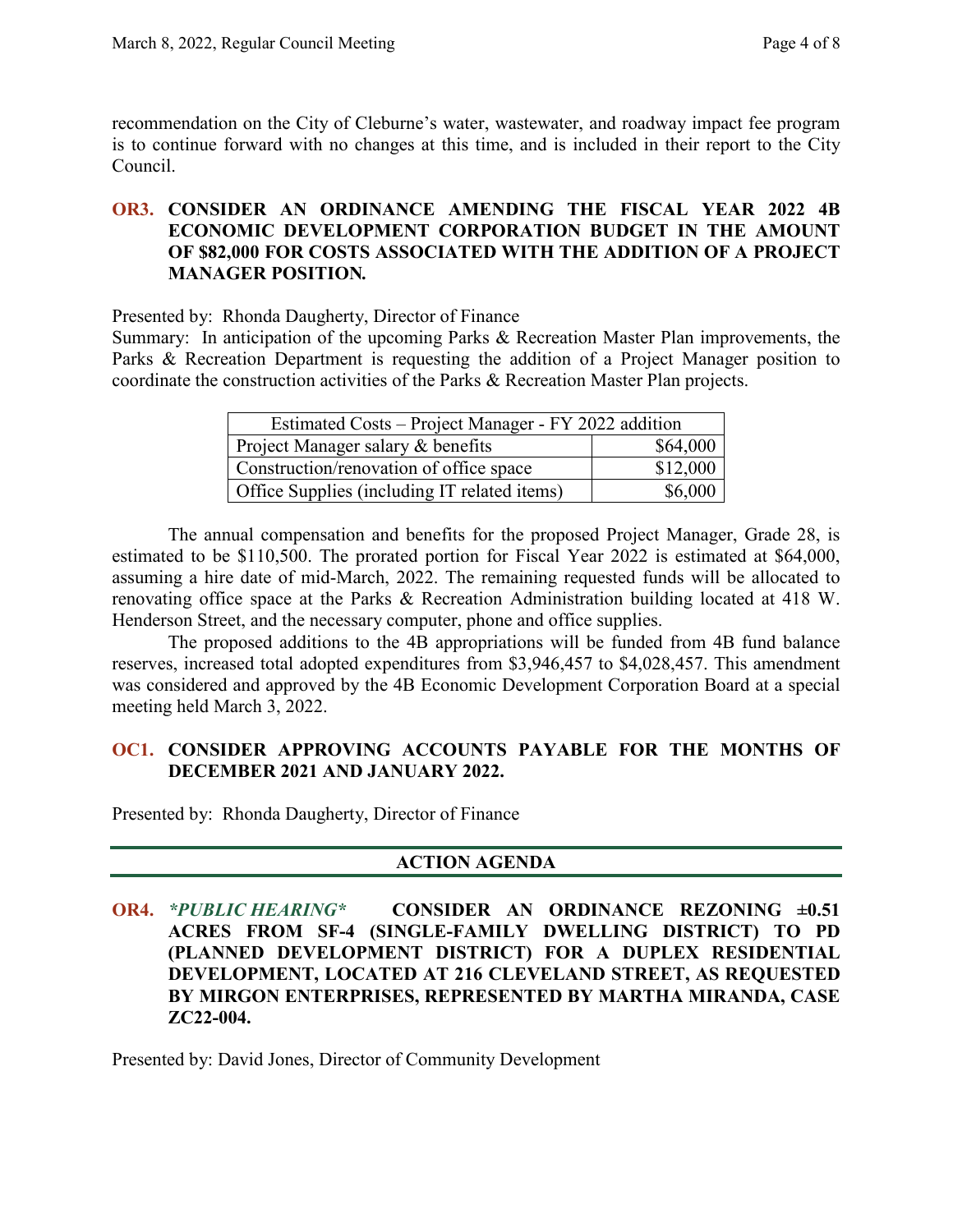recommendation on the City of Cleburne's water, wastewater, and roadway impact fee program is to continue forward with no changes at this time, and is included in their report to the City Council.

#### **OR3. CONSIDER AN ORDINANCE AMENDING THE FISCAL YEAR 2022 4B ECONOMIC DEVELOPMENT CORPORATION BUDGET IN THE AMOUNT OF \$82,000 FOR COSTS ASSOCIATED WITH THE ADDITION OF A PROJECT MANAGER POSITION***.*

Presented by: Rhonda Daugherty, Director of Finance

Summary: In anticipation of the upcoming Parks & Recreation Master Plan improvements, the Parks & Recreation Department is requesting the addition of a Project Manager position to coordinate the construction activities of the Parks & Recreation Master Plan projects.

| Estimated Costs - Project Manager - FY 2022 addition |          |
|------------------------------------------------------|----------|
| Project Manager salary & benefits                    | \$64,000 |
| Construction/renovation of office space              | \$12,000 |
| Office Supplies (including IT related items)         | \$6,000  |

The annual compensation and benefits for the proposed Project Manager, Grade 28, is estimated to be \$110,500. The prorated portion for Fiscal Year 2022 is estimated at \$64,000, assuming a hire date of mid-March, 2022. The remaining requested funds will be allocated to renovating office space at the Parks & Recreation Administration building located at 418 W. Henderson Street, and the necessary computer, phone and office supplies.

The proposed additions to the 4B appropriations will be funded from 4B fund balance reserves, increased total adopted expenditures from \$3,946,457 to \$4,028,457. This amendment was considered and approved by the 4B Economic Development Corporation Board at a special meeting held March 3, 2022.

# **OC1. CONSIDER APPROVING ACCOUNTS PAYABLE FOR THE MONTHS OF DECEMBER 2021 AND JANUARY 2022.**

Presented by: Rhonda Daugherty, Director of Finance

# **ACTION AGENDA**

**OR4.** *\*PUBLIC HEARING\** **CONSIDER AN ORDINANCE REZONING ±0.51 ACRES FROM SF-4 (SINGLE-FAMILY DWELLING DISTRICT) TO PD (PLANNED DEVELOPMENT DISTRICT) FOR A DUPLEX RESIDENTIAL DEVELOPMENT, LOCATED AT 216 CLEVELAND STREET, AS REQUESTED BY MIRGON ENTERPRISES, REPRESENTED BY MARTHA MIRANDA, CASE ZC22-004.**

Presented by: David Jones, Director of Community Development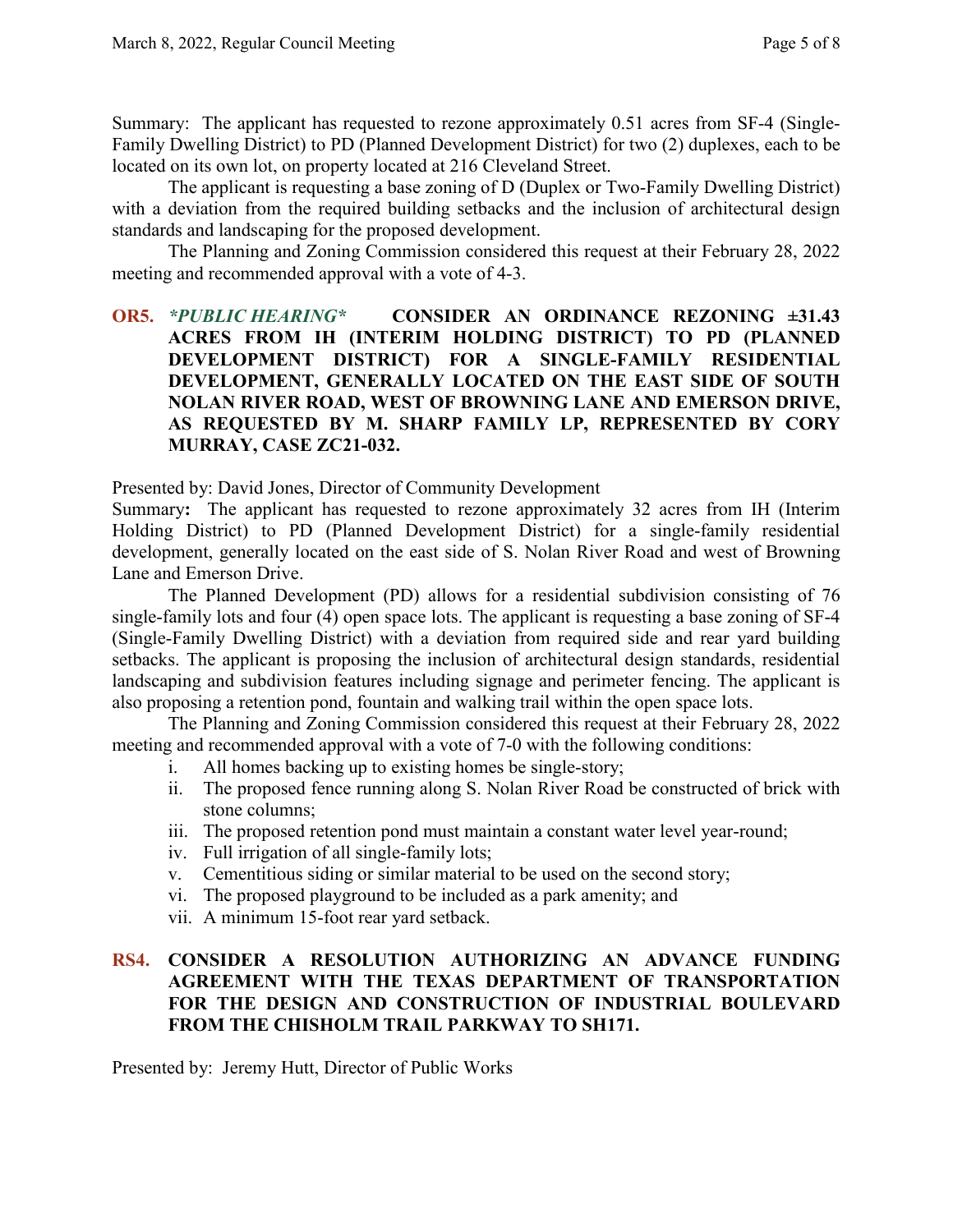Summary: The applicant has requested to rezone approximately 0.51 acres from SF-4 (Single-Family Dwelling District) to PD (Planned Development District) for two (2) duplexes, each to be located on its own lot, on property located at 216 Cleveland Street.

The applicant is requesting a base zoning of D (Duplex or Two-Family Dwelling District) with a deviation from the required building setbacks and the inclusion of architectural design standards and landscaping for the proposed development.

The Planning and Zoning Commission considered this request at their February 28, 2022 meeting and recommended approval with a vote of 4-3.

# **OR5.** *\*PUBLIC HEARING\** **CONSIDER AN ORDINANCE REZONING ±31.43 ACRES FROM IH (INTERIM HOLDING DISTRICT) TO PD (PLANNED DEVELOPMENT DISTRICT) FOR A SINGLE-FAMILY RESIDENTIAL DEVELOPMENT, GENERALLY LOCATED ON THE EAST SIDE OF SOUTH NOLAN RIVER ROAD, WEST OF BROWNING LANE AND EMERSON DRIVE, AS REQUESTED BY M. SHARP FAMILY LP, REPRESENTED BY CORY MURRAY, CASE ZC21-032.**

Presented by: David Jones, Director of Community Development

Summary**:** The applicant has requested to rezone approximately 32 acres from IH (Interim Holding District) to PD (Planned Development District) for a single-family residential development, generally located on the east side of S. Nolan River Road and west of Browning Lane and Emerson Drive.

The Planned Development (PD) allows for a residential subdivision consisting of 76 single-family lots and four (4) open space lots. The applicant is requesting a base zoning of SF-4 (Single-Family Dwelling District) with a deviation from required side and rear yard building setbacks. The applicant is proposing the inclusion of architectural design standards, residential landscaping and subdivision features including signage and perimeter fencing. The applicant is also proposing a retention pond, fountain and walking trail within the open space lots.

The Planning and Zoning Commission considered this request at their February 28, 2022 meeting and recommended approval with a vote of 7-0 with the following conditions:

- i. All homes backing up to existing homes be single-story;
- ii. The proposed fence running along S. Nolan River Road be constructed of brick with stone columns;
- iii. The proposed retention pond must maintain a constant water level year-round;
- iv. Full irrigation of all single-family lots;
- v. Cementitious siding or similar material to be used on the second story;
- vi. The proposed playground to be included as a park amenity; and
- vii. A minimum 15-foot rear yard setback.

# **RS4. CONSIDER A RESOLUTION AUTHORIZING AN ADVANCE FUNDING AGREEMENT WITH THE TEXAS DEPARTMENT OF TRANSPORTATION FOR THE DESIGN AND CONSTRUCTION OF INDUSTRIAL BOULEVARD FROM THE CHISHOLM TRAIL PARKWAY TO SH171.**

Presented by: Jeremy Hutt, Director of Public Works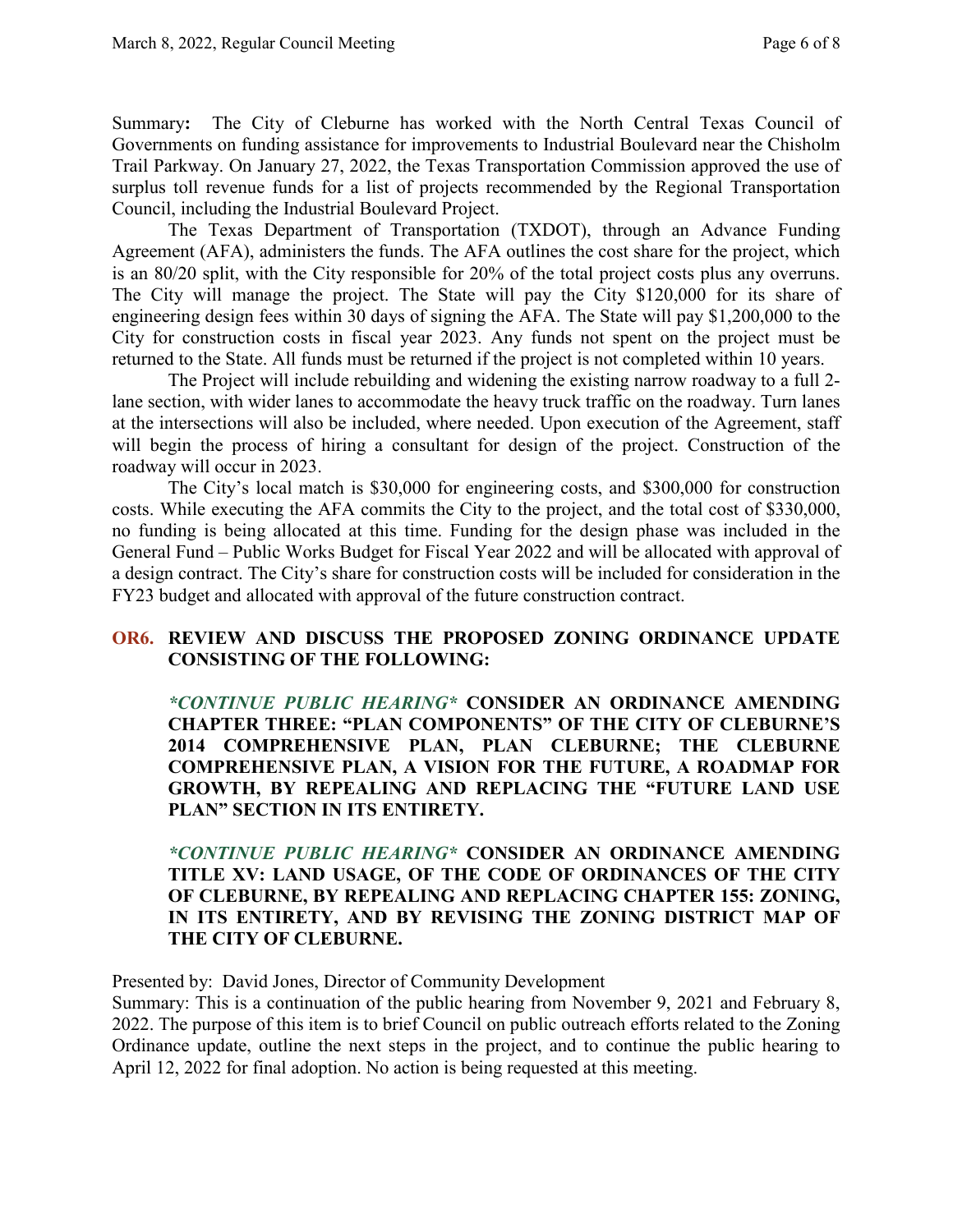Summary**:** The City of Cleburne has worked with the North Central Texas Council of Governments on funding assistance for improvements to Industrial Boulevard near the Chisholm Trail Parkway. On January 27, 2022, the Texas Transportation Commission approved the use of surplus toll revenue funds for a list of projects recommended by the Regional Transportation Council, including the Industrial Boulevard Project.

The Texas Department of Transportation (TXDOT), through an Advance Funding Agreement (AFA), administers the funds. The AFA outlines the cost share for the project, which is an 80/20 split, with the City responsible for 20% of the total project costs plus any overruns. The City will manage the project. The State will pay the City \$120,000 for its share of engineering design fees within 30 days of signing the AFA. The State will pay \$1,200,000 to the City for construction costs in fiscal year 2023. Any funds not spent on the project must be returned to the State. All funds must be returned if the project is not completed within 10 years.

The Project will include rebuilding and widening the existing narrow roadway to a full 2 lane section, with wider lanes to accommodate the heavy truck traffic on the roadway. Turn lanes at the intersections will also be included, where needed. Upon execution of the Agreement, staff will begin the process of hiring a consultant for design of the project. Construction of the roadway will occur in 2023.

The City's local match is \$30,000 for engineering costs, and \$300,000 for construction costs. While executing the AFA commits the City to the project, and the total cost of \$330,000, no funding is being allocated at this time. Funding for the design phase was included in the General Fund – Public Works Budget for Fiscal Year 2022 and will be allocated with approval of a design contract. The City's share for construction costs will be included for consideration in the FY23 budget and allocated with approval of the future construction contract.

# **OR6. REVIEW AND DISCUSS THE PROPOSED ZONING ORDINANCE UPDATE CONSISTING OF THE FOLLOWING:**

*\*CONTINUE PUBLIC HEARING\** **CONSIDER AN ORDINANCE AMENDING CHAPTER THREE: "PLAN COMPONENTS" OF THE CITY OF CLEBURNE'S 2014 COMPREHENSIVE PLAN, PLAN CLEBURNE; THE CLEBURNE COMPREHENSIVE PLAN, A VISION FOR THE FUTURE, A ROADMAP FOR GROWTH, BY REPEALING AND REPLACING THE "FUTURE LAND USE PLAN" SECTION IN ITS ENTIRETY.**

*\*CONTINUE PUBLIC HEARING\** **CONSIDER AN ORDINANCE AMENDING TITLE XV: LAND USAGE, OF THE CODE OF ORDINANCES OF THE CITY OF CLEBURNE, BY REPEALING AND REPLACING CHAPTER 155: ZONING, IN ITS ENTIRETY, AND BY REVISING THE ZONING DISTRICT MAP OF THE CITY OF CLEBURNE.**

Presented by: David Jones, Director of Community Development

Summary: This is a continuation of the public hearing from November 9, 2021 and February 8, 2022. The purpose of this item is to brief Council on public outreach efforts related to the Zoning Ordinance update, outline the next steps in the project, and to continue the public hearing to April 12, 2022 for final adoption. No action is being requested at this meeting.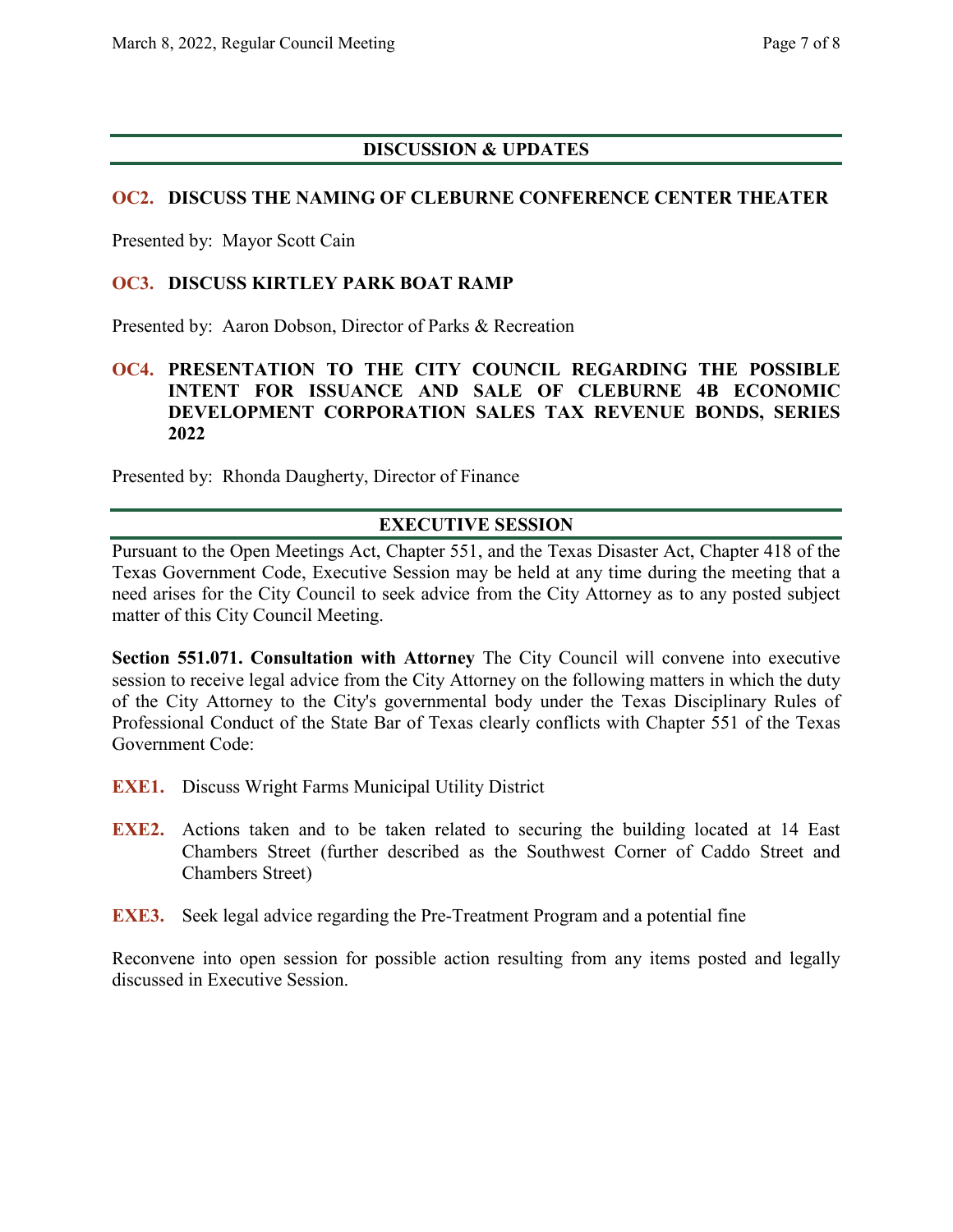#### **DISCUSSION & UPDATES**

#### **OC2. DISCUSS THE NAMING OF CLEBURNE CONFERENCE CENTER THEATER**

Presented by: Mayor Scott Cain

#### **OC3. DISCUSS KIRTLEY PARK BOAT RAMP**

Presented by: Aaron Dobson, Director of Parks & Recreation

#### **OC4. PRESENTATION TO THE CITY COUNCIL REGARDING THE POSSIBLE INTENT FOR ISSUANCE AND SALE OF CLEBURNE 4B ECONOMIC DEVELOPMENT CORPORATION SALES TAX REVENUE BONDS, SERIES 2022**

Presented by: Rhonda Daugherty, Director of Finance

#### **EXECUTIVE SESSION**

Pursuant to the Open Meetings Act, Chapter 551, and the Texas Disaster Act, Chapter 418 of the Texas Government Code, Executive Session may be held at any time during the meeting that a need arises for the City Council to seek advice from the City Attorney as to any posted subject matter of this City Council Meeting.

**Section 551.071. Consultation with Attorney** The City Council will convene into executive session to receive legal advice from the City Attorney on the following matters in which the duty of the City Attorney to the City's governmental body under the Texas Disciplinary Rules of Professional Conduct of the State Bar of Texas clearly conflicts with Chapter 551 of the Texas Government Code:

- **EXE1.** Discuss Wright Farms Municipal Utility District
- **EXE2.** Actions taken and to be taken related to securing the building located at 14 East Chambers Street (further described as the Southwest Corner of Caddo Street and Chambers Street)
- **EXE3.** Seek legal advice regarding the Pre-Treatment Program and a potential fine

Reconvene into open session for possible action resulting from any items posted and legally discussed in Executive Session.